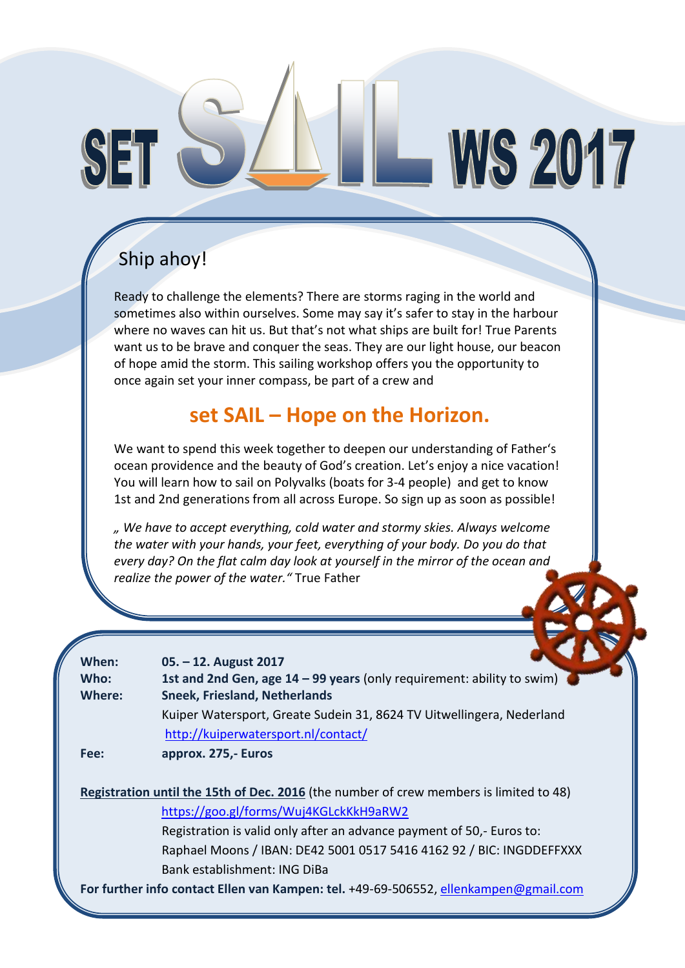# WS 2017

### Ship ahoy!

 $S1$ 

Ready to challenge the elements? There are storms raging in the world and sometimes also within ourselves. Some may say it's safer to stay in the harbour where no waves can hit us. But that's not what ships are built for! True Parents want us to be brave and conquer the seas. They are our light house, our beacon of hope amid the storm. This sailing workshop offers you the opportunity to once again set your inner compass, be part of a crew and

#### **set SAIL – Hope on the Horizon.**

We want to spend this week together to deepen our understanding of Father's ocean providence and the beauty of God's creation. Let's enjoy a nice vacation! You will learn how to sail on Polyvalks (boats for 3-4 people) and get to know 1st and 2nd generations from all across Europe. So sign up as soon as possible!

*" We have to accept everything, cold water and stormy skies. Always welcome the water with your hands, your feet, everything of your body. Do you do that every day? On the flat calm day look at yourself in the mirror of the ocean and realize the power of the water."* True Father

| When:<br>Who:                                                                          | 05. – 12. August 2017<br>1st and 2nd Gen, age $14 - 99$ years (only requirement: ability to swim) |  |  |  |  |
|----------------------------------------------------------------------------------------|---------------------------------------------------------------------------------------------------|--|--|--|--|
| Where:                                                                                 | <b>Sneek, Friesland, Netherlands</b>                                                              |  |  |  |  |
|                                                                                        | Kuiper Watersport, Greate Sudein 31, 8624 TV Uitwellingera, Nederland                             |  |  |  |  |
|                                                                                        | http://kuiperwatersport.nl/contact/                                                               |  |  |  |  |
| Fee:                                                                                   | approx. 275,- Euros                                                                               |  |  |  |  |
|                                                                                        |                                                                                                   |  |  |  |  |
| Registration until the 15th of Dec. 2016 (the number of crew members is limited to 48) |                                                                                                   |  |  |  |  |
|                                                                                        | https://goo.gl/forms/Wuj4KGLckKkH9aRW2                                                            |  |  |  |  |
|                                                                                        | Registration is valid only after an advance payment of 50,- Euros to:                             |  |  |  |  |
|                                                                                        | Raphael Moons / IBAN: DE42 5001 0517 5416 4162 92 / BIC: INGDDEFFXXX                              |  |  |  |  |
|                                                                                        | Bank establishment: ING DiBa                                                                      |  |  |  |  |
| For further info contact Ellen van Kampen: tel. +49-69-506552, ellenkampen@gmail.com   |                                                                                                   |  |  |  |  |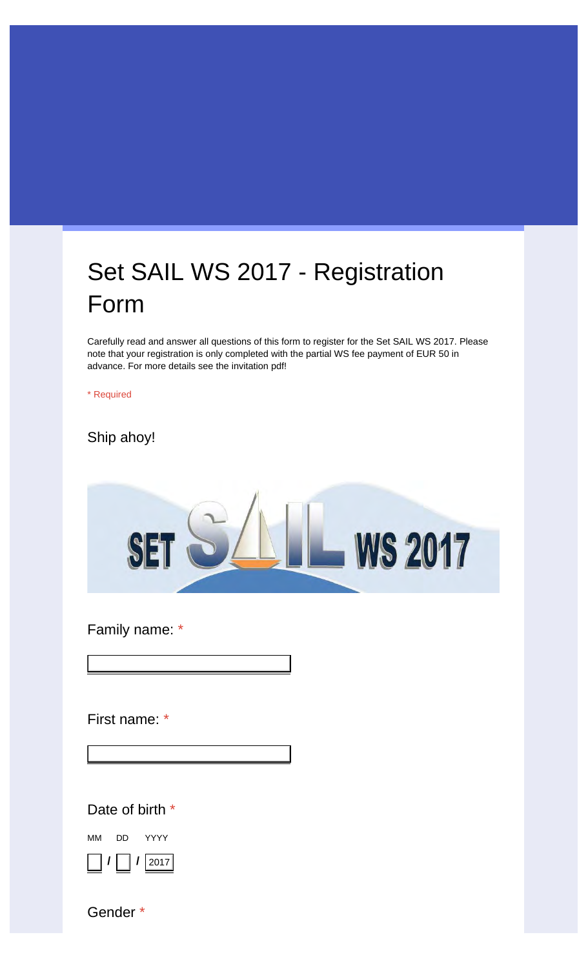## Set SAIL WS 2017 - Registration Form

Carefully read and answer all questions of this form to register for the Set SAIL WS 2017. Please note that your registration is only completed with the partial WS fee payment of EUR 50 in advance. For more details see the invitation pdf!

\* Required

Ship ahoy!



Family name: \*

First name: \*

Your answer

Your answer

Date of birth \*

MM **/** DD **/** YYYY 2017

Gender \*